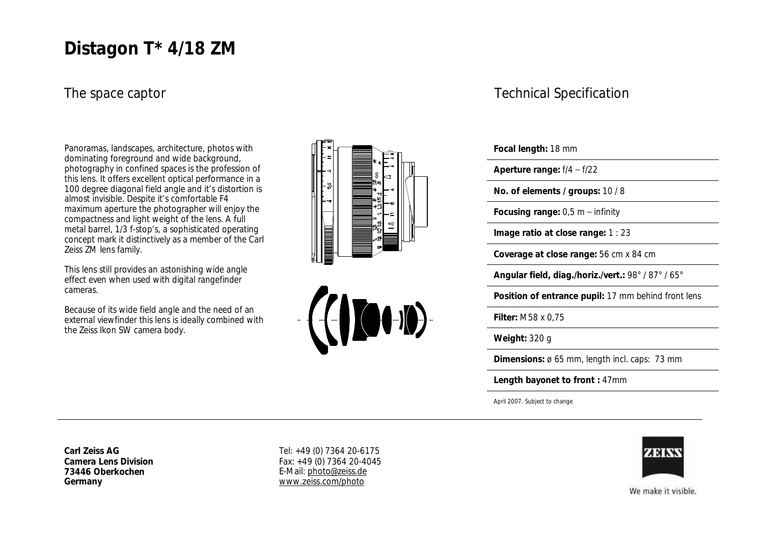## **Distagon T\* 4/18 ZM**

#### The space captor

Panoramas, landscapes, architecture, photos with dominating foreground and wide background, photography in confined spaces is the profession of this lens. It offers excellent optical performance in a 100 degree diagonal field angle and it's distortion is almost invisible. Despite it's comfortable F4 maximum aperture the photographer will enjoy the compactness and light weight of the lens. A full metal barrel, 1/3 f-stop's, a sophisticated operating concept mark it distinctively as a member of the Carl Zeiss ZM lens family.

This lens still provides an astonishing wide angle effect even when used with digital rangefinder cameras.

Because of its wide field angle and the need of an external viewfinder this lens is ideally combined with the Zeiss Ikon SW camera body.





#### Technical Specification

| Focal length: 18 mm                                 |
|-----------------------------------------------------|
| Aperture range: $f/4 - f/22$                        |
| No. of elements / groups: 10 / 8                    |
| Focusing range: $0,5$ m – infinity                  |
| Image ratio at close range: 1 : 23                  |
| Coverage at close range: 56 cm x 84 cm              |
| Angular field, diag./horiz./vert.: 98°/87°/65°      |
| Position of entrance pupil: 17 mm behind front lens |
| Filter: M58 x 0,75                                  |
| Weight: 320 g                                       |
| Dimensions: ø 65 mm, length incl. caps: 73 mm       |
| Length bayonet to front: 47mm                       |
| April 2007. Subject to change                       |

**Carl Zeiss AG Camera Lens Division 73446 Oberkochen Germany**

Tel: +49 (0) 7364 20-6175 Fax: +49 (0) 7364 20-4045 E-Mail: [photo@zeiss.de](mailto:photo@zeiss.de) [www.zeiss.com/photo](http://www.zeiss.com/photo)



We make it visible.